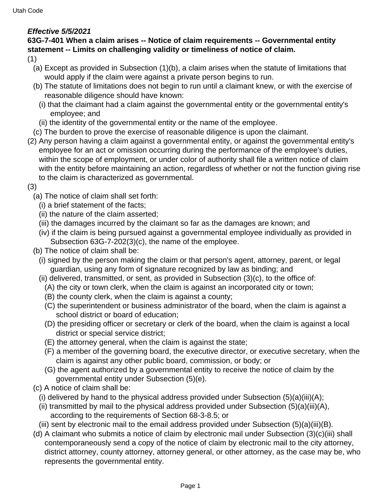## **Effective 5/5/2021**

## **63G-7-401 When a claim arises -- Notice of claim requirements -- Governmental entity statement -- Limits on challenging validity or timeliness of notice of claim.**

(1)

- (a) Except as provided in Subsection (1)(b), a claim arises when the statute of limitations that would apply if the claim were against a private person begins to run.
- (b) The statute of limitations does not begin to run until a claimant knew, or with the exercise of reasonable diligence should have known:
	- (i) that the claimant had a claim against the governmental entity or the governmental entity's employee; and
- (ii) the identity of the governmental entity or the name of the employee.
- (c) The burden to prove the exercise of reasonable diligence is upon the claimant.
- (2) Any person having a claim against a governmental entity, or against the governmental entity's employee for an act or omission occurring during the performance of the employee's duties, within the scope of employment, or under color of authority shall file a written notice of claim with the entity before maintaining an action, regardless of whether or not the function giving rise to the claim is characterized as governmental.
- (3)
	- (a) The notice of claim shall set forth:
		- (i) a brief statement of the facts;
		- (ii) the nature of the claim asserted;
		- (iii) the damages incurred by the claimant so far as the damages are known; and
		- (iv) if the claim is being pursued against a governmental employee individually as provided in Subsection 63G-7-202(3)(c), the name of the employee.
	- (b) The notice of claim shall be:
		- (i) signed by the person making the claim or that person's agent, attorney, parent, or legal guardian, using any form of signature recognized by law as binding; and
		- (ii) delivered, transmitted, or sent, as provided in Subsection (3)(c), to the office of:
			- (A) the city or town clerk, when the claim is against an incorporated city or town;
			- (B) the county clerk, when the claim is against a county;
			- (C) the superintendent or business administrator of the board, when the claim is against a school district or board of education;
			- (D) the presiding officer or secretary or clerk of the board, when the claim is against a local district or special service district;
			- (E) the attorney general, when the claim is against the state;
			- (F) a member of the governing board, the executive director, or executive secretary, when the claim is against any other public board, commission, or body; or
			- (G) the agent authorized by a governmental entity to receive the notice of claim by the governmental entity under Subsection (5)(e).
	- (c) A notice of claim shall be:
		- (i) delivered by hand to the physical address provided under Subsection  $(5)(a)(iii)(A)$ ;
		- (ii) transmitted by mail to the physical address provided under Subsection  $(5)(a)(iii)(A)$ , according to the requirements of Section 68-3-8.5; or
		- (iii) sent by electronic mail to the email address provided under Subsection  $(5)(a)(iii)(B)$ .
	- (d) A claimant who submits a notice of claim by electronic mail under Subsection (3)(c)(iii) shall contemporaneously send a copy of the notice of claim by electronic mail to the city attorney, district attorney, county attorney, attorney general, or other attorney, as the case may be, who represents the governmental entity.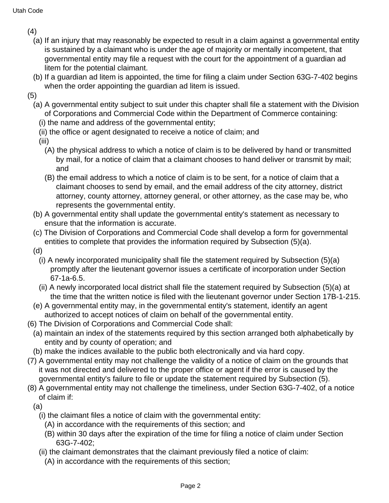(4)

- (a) If an injury that may reasonably be expected to result in a claim against a governmental entity is sustained by a claimant who is under the age of majority or mentally incompetent, that governmental entity may file a request with the court for the appointment of a guardian ad litem for the potential claimant.
- (b) If a guardian ad litem is appointed, the time for filing a claim under Section 63G-7-402 begins when the order appointing the guardian ad litem is issued.
- (5)
	- (a) A governmental entity subject to suit under this chapter shall file a statement with the Division of Corporations and Commercial Code within the Department of Commerce containing:
		- (i) the name and address of the governmental entity;
		- (ii) the office or agent designated to receive a notice of claim; and
		- (iii)
			- (A) the physical address to which a notice of claim is to be delivered by hand or transmitted by mail, for a notice of claim that a claimant chooses to hand deliver or transmit by mail; and
			- (B) the email address to which a notice of claim is to be sent, for a notice of claim that a claimant chooses to send by email, and the email address of the city attorney, district attorney, county attorney, attorney general, or other attorney, as the case may be, who represents the governmental entity.
	- (b) A governmental entity shall update the governmental entity's statement as necessary to ensure that the information is accurate.
	- (c) The Division of Corporations and Commercial Code shall develop a form for governmental entities to complete that provides the information required by Subsection (5)(a).
	- (d)
		- (i) A newly incorporated municipality shall file the statement required by Subsection (5)(a) promptly after the lieutenant governor issues a certificate of incorporation under Section 67-1a-6.5.
		- (ii) A newly incorporated local district shall file the statement required by Subsection (5)(a) at the time that the written notice is filed with the lieutenant governor under Section 17B-1-215.
	- (e) A governmental entity may, in the governmental entity's statement, identify an agent authorized to accept notices of claim on behalf of the governmental entity.
- (6) The Division of Corporations and Commercial Code shall:
	- (a) maintain an index of the statements required by this section arranged both alphabetically by entity and by county of operation; and
	- (b) make the indices available to the public both electronically and via hard copy.
- (7) A governmental entity may not challenge the validity of a notice of claim on the grounds that it was not directed and delivered to the proper office or agent if the error is caused by the governmental entity's failure to file or update the statement required by Subsection (5).
- (8) A governmental entity may not challenge the timeliness, under Section 63G-7-402, of a notice of claim if:

(a)

- (i) the claimant files a notice of claim with the governmental entity:
	- (A) in accordance with the requirements of this section; and
	- (B) within 30 days after the expiration of the time for filing a notice of claim under Section 63G-7-402;
- (ii) the claimant demonstrates that the claimant previously filed a notice of claim:
	- (A) in accordance with the requirements of this section;